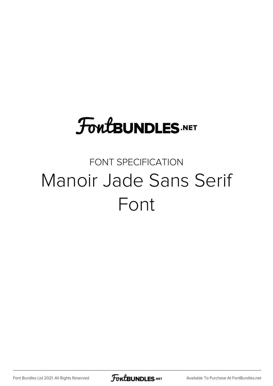## **FoutBUNDLES.NET**

#### FONT SPECIFICATION Manoir Jade Sans Serif Font

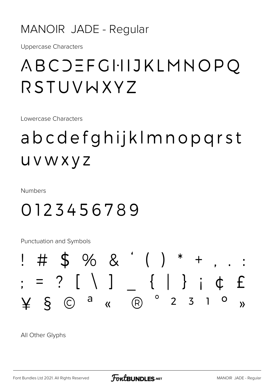#### MANOIR JADE - Regular

**Uppercase Characters** 

#### ABCJEFGHIJKLMNOPQ RSTUVWXYZ

Lowercase Characters

### abcdefghijklmnopgrst UVWXYZ

**Numbers** 

#### 0123456789

**Punctuation and Symbols** 



All Other Glyphs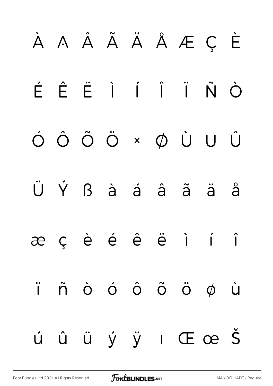# À Á Â Ã Ä Å Æ Ç È É Ê Ë Ì Í Î Ï Ñ Ò Ó Ô Õ Ö × Ø Ù Ú Û Ü Ý ß à á â ã ä å æ ç è é ê ë ì í î ï ñ ò ó ô õ ö ø ù ú û ü ý ÿ ı Œ œ Š